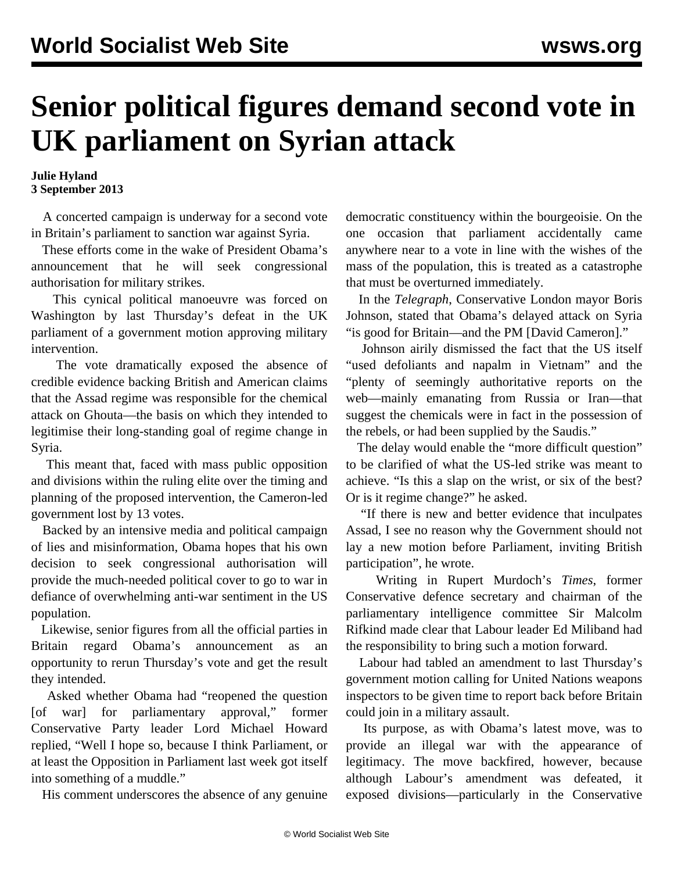## **Senior political figures demand second vote in UK parliament on Syrian attack**

**Julie Hyland 3 September 2013**

 A concerted campaign is underway for a second vote in Britain's parliament to sanction war against Syria.

 These efforts come in the wake of President Obama's announcement that he will seek congressional authorisation for military strikes.

 This cynical political manoeuvre was forced on Washington by last Thursday's defeat in the UK parliament of a government motion approving military intervention.

 The vote dramatically exposed the absence of credible evidence backing British and American claims that the Assad regime was responsible for the chemical attack on Ghouta—the basis on which they intended to legitimise their long-standing goal of regime change in Syria.

 This meant that, faced with mass public opposition and divisions within the ruling elite over the timing and planning of the proposed intervention, the Cameron-led government lost by 13 votes.

 Backed by an intensive media and political campaign of lies and misinformation, Obama hopes that his own decision to seek congressional authorisation will provide the much-needed political cover to go to war in defiance of overwhelming anti-war sentiment in the US population.

 Likewise, senior figures from all the official parties in Britain regard Obama's announcement as an opportunity to rerun Thursday's vote and get the result they intended.

 Asked whether Obama had "reopened the question [of war] for parliamentary approval," former Conservative Party leader Lord Michael Howard replied, "Well I hope so, because I think Parliament, or at least the Opposition in Parliament last week got itself into something of a muddle."

His comment underscores the absence of any genuine

democratic constituency within the bourgeoisie. On the one occasion that parliament accidentally came anywhere near to a vote in line with the wishes of the mass of the population, this is treated as a catastrophe that must be overturned immediately.

 In the *Telegraph*, Conservative London mayor Boris Johnson, stated that Obama's delayed attack on Syria "is good for Britain—and the PM [David Cameron]."

 Johnson airily dismissed the fact that the US itself "used defoliants and napalm in Vietnam" and the "plenty of seemingly authoritative reports on the web—mainly emanating from Russia or Iran—that suggest the chemicals were in fact in the possession of the rebels, or had been supplied by the Saudis."

 The delay would enable the "more difficult question" to be clarified of what the US-led strike was meant to achieve. "Is this a slap on the wrist, or six of the best? Or is it regime change?" he asked.

 "If there is new and better evidence that inculpates Assad, I see no reason why the Government should not lay a new motion before Parliament, inviting British participation", he wrote.

 Writing in Rupert Murdoch's *Times*, former Conservative defence secretary and chairman of the parliamentary intelligence committee Sir Malcolm Rifkind made clear that Labour leader Ed Miliband had the responsibility to bring such a motion forward.

 Labour had tabled an amendment to last Thursday's government motion calling for United Nations weapons inspectors to be given time to report back before Britain could join in a military assault.

 Its purpose, as with Obama's latest move, was to provide an illegal war with the appearance of legitimacy. The move backfired, however, because although Labour's amendment was defeated, it exposed divisions—particularly in the Conservative